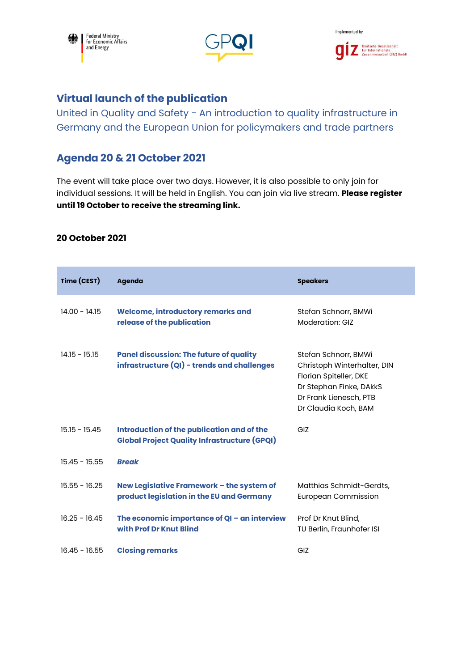





## **Virtual launch of the publication**

United in Quality and Safety - An introduction to quality infrastructure in Germany and the European Union for policymakers and trade partners

## **Agenda 20 & 21 October 2021**

The event will take place over two days. However, it is also possible to only join for individual sessions. It will be held in English. You can join via live stream. **Please register until 19 October to receive the streaming link.**

## **20 October 2021**

| Time (CEST)     | <b>Agenda</b>                                                                                     | <b>Speakers</b>                                                                                                                                            |
|-----------------|---------------------------------------------------------------------------------------------------|------------------------------------------------------------------------------------------------------------------------------------------------------------|
| $14.00 - 14.15$ | Welcome, introductory remarks and<br>release of the publication                                   | Stefan Schnorr, BMWi<br><b>Moderation: GIZ</b>                                                                                                             |
| $14.15 - 15.15$ | <b>Panel discussion: The future of quality</b><br>infrastructure (QI) - trends and challenges     | Stefan Schnorr, BMWi<br>Christoph Winterhalter, DIN<br>Florian Spiteller, DKE<br>Dr Stephan Finke, DAkkS<br>Dr Frank Lienesch, PTB<br>Dr Claudia Koch, BAM |
| $15.15 - 15.45$ | Introduction of the publication and of the<br><b>Global Project Quality Infrastructure (GPQI)</b> | GI <sub>7</sub>                                                                                                                                            |
| $15.45 - 15.55$ | <b>Break</b>                                                                                      |                                                                                                                                                            |
| $15.55 - 16.25$ | New Legislative Framework - the system of<br>product legislation in the EU and Germany            | Matthias Schmidt-Gerdts,<br><b>European Commission</b>                                                                                                     |
| $16.25 - 16.45$ | The economic importance of QI - an interview<br>with Prof Dr Knut Blind                           | Prof Dr Knut Blind,<br>TU Berlin, Fraunhofer ISI                                                                                                           |
| $16.45 - 16.55$ | <b>Closing remarks</b>                                                                            | GIZ                                                                                                                                                        |